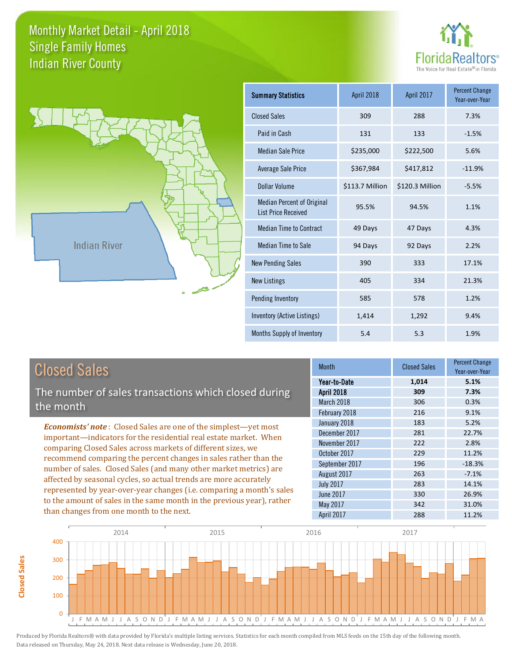



| <b>Summary Statistics</b>                                       | April 2018      | April 2017      |          |
|-----------------------------------------------------------------|-----------------|-----------------|----------|
| <b>Closed Sales</b>                                             | 309             | 288             | 7.3%     |
| Paid in Cash                                                    | 131             | 133             | $-1.5%$  |
| <b>Median Sale Price</b>                                        | \$235,000       | \$222,500       | 5.6%     |
| <b>Average Sale Price</b>                                       | \$367,984       | \$417,812       | $-11.9%$ |
| Dollar Volume                                                   | \$113.7 Million | \$120.3 Million | $-5.5%$  |
| <b>Median Percent of Original</b><br><b>List Price Received</b> | 95.5%           | 94.5%           | 1.1%     |
| <b>Median Time to Contract</b>                                  | 49 Days         | 47 Days         | 4.3%     |
| <b>Median Time to Sale</b>                                      | 94 Days         | 92 Days         | 2.2%     |
| <b>New Pending Sales</b>                                        | 390             | 333             | 17.1%    |
| <b>New Listings</b>                                             | 405             | 334             | 21.3%    |
| Pending Inventory                                               | 585             | 578             | 1.2%     |
| Inventory (Active Listings)                                     | 1,414           | 1,292           | 9.4%     |
| Months Supply of Inventory                                      | 5.4             | 5.3             | 1.9%     |

| <b>Closed Sales</b><br>The number of sales transactions which closed during                                                                 |  |  |
|---------------------------------------------------------------------------------------------------------------------------------------------|--|--|
|                                                                                                                                             |  |  |
| <b>Economists' note:</b> Closed Sales are one of the simplest-yet most<br>important—indicators for the residential real estate market. When |  |  |

comparing Closed Sales across markets of different sizes, we recommend comparing the percent changes in sales rather than the number of sales. Closed Sales (and many other market metrics) are affected by seasonal cycles, so actual trends are more accurately represented by year-over-year changes (i.e. comparing a month's sales to the amount of sales in the same month in the previous year), rather than changes from one month to the next.

**Closed Sales**

**Closed Sales** 

| <b>Month</b>      | <b>Closed Sales</b> | Percent Change<br>Year-over-Year |
|-------------------|---------------------|----------------------------------|
| Year-to-Date      | 1,014               | 5.1%                             |
| <b>April 2018</b> | 309                 | 7.3%                             |
| March 2018        | 306                 | 0.3%                             |
| February 2018     | 216                 | 9.1%                             |
| January 2018      | 183                 | 5.2%                             |
| December 2017     | 281                 | 22.7%                            |
| November 2017     | 222                 | 2.8%                             |
| October 2017      | 229                 | 11.2%                            |
| September 2017    | 196                 | $-18.3%$                         |
| August 2017       | 263                 | $-7.1%$                          |
| <b>July 2017</b>  | 283                 | 14.1%                            |
| <b>June 2017</b>  | 330                 | 26.9%                            |
| May 2017          | 342                 | 31.0%                            |
| April 2017        | 288                 | 11.2%                            |

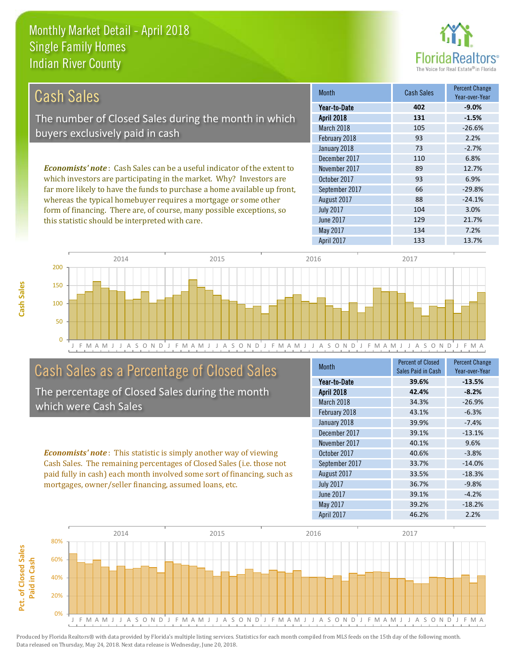this statistic should be interpreted with care.



| Cash Sales                                                                     | <b>Month</b>      | <b>Cash Sales</b> | <b>Percent Change</b><br>Year-over-Year |
|--------------------------------------------------------------------------------|-------------------|-------------------|-----------------------------------------|
|                                                                                | Year-to-Date      | 402               | $-9.0%$                                 |
| The number of Closed Sales during the month in which                           | <b>April 2018</b> | 131               | $-1.5%$                                 |
| buyers exclusively paid in cash                                                | March 2018        | 105               | $-26.6%$                                |
|                                                                                | February 2018     | 93                | 2.2%                                    |
|                                                                                | January 2018      | 73                | $-2.7%$                                 |
|                                                                                | December 2017     | 110               | 6.8%                                    |
| <b>Economists' note:</b> Cash Sales can be a useful indicator of the extent to | November 2017     | 89                | 12.7%                                   |
| which investors are participating in the market. Why? Investors are            | October 2017      | 93                | 6.9%                                    |
| far more likely to have the funds to purchase a home available up front,       | September 2017    | 66                | $-29.8%$                                |
| whereas the typical homebuyer requires a mortgage or some other                | August 2017       | 88                | $-24.1%$                                |
| form of financing. There are, of course, many possible exceptions, so          | <b>July 2017</b>  | 104               | 3.0%                                    |
| this statistic should be interpreted with care                                 | June 2017         | 129               | 21.7%                                   |



## Cash Sales as a Percentage of Closed Sales

The percentage of Closed Sales during the month which were Cash Sales

*Economists' note* : This statistic is simply another way of viewing Cash Sales. The remaining percentages of Closed Sales (i.e. those not paid fully in cash) each month involved some sort of financing, such as mortgages, owner/seller financing, assumed loans, etc.

| <b>Month</b>      | Percent of Closed<br><b>Sales Paid in Cash</b> | <b>Percent Change</b><br>Year-over-Year |
|-------------------|------------------------------------------------|-----------------------------------------|
| Year-to-Date      | 39.6%                                          | $-13.5%$                                |
| <b>April 2018</b> | 42.4%                                          | $-8.2%$                                 |
| March 2018        | 34.3%                                          | $-26.9%$                                |
| February 2018     | 43.1%                                          | $-6.3%$                                 |
| January 2018      | 39.9%                                          | $-7.4%$                                 |
| December 2017     | 39.1%                                          | $-13.1%$                                |
| November 2017     | 40.1%                                          | 9.6%                                    |
| October 2017      | 40.6%                                          | $-3.8%$                                 |
| September 2017    | 33.7%                                          | $-14.0%$                                |
| August 2017       | 33.5%                                          | $-18.3%$                                |
| <b>July 2017</b>  | 36.7%                                          | $-9.8%$                                 |
| <b>June 2017</b>  | 39.1%                                          | $-4.2%$                                 |
| May 2017          | 39.2%                                          | $-18.2%$                                |
| April 2017        | 46.2%                                          | 2.2%                                    |

May 2017 134 7.2%

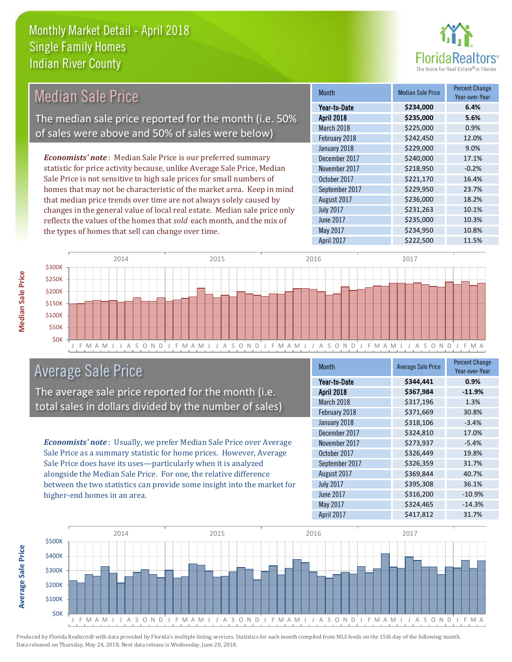the types of homes that sell can change over time.



| <b>Median Sale Price</b>                                                  | <b>Month</b>      | <b>Median Sale Price</b> | <b>Percent Change</b><br>Year-over-Year |
|---------------------------------------------------------------------------|-------------------|--------------------------|-----------------------------------------|
|                                                                           | Year-to-Date      | \$234,000                | 6.4%                                    |
| The median sale price reported for the month (i.e. 50%                    | <b>April 2018</b> | \$235,000                | 5.6%                                    |
|                                                                           | March 2018        | \$225,000                | 0.9%                                    |
| of sales were above and 50% of sales were below)                          | February 2018     | \$242,450                | 12.0%                                   |
|                                                                           | January 2018      | \$229,000                | 9.0%                                    |
| <b>Economists' note:</b> Median Sale Price is our preferred summary       | December 2017     | \$240,000                | 17.1%                                   |
| statistic for price activity because, unlike Average Sale Price, Median   | November 2017     | \$218,950                | $-0.2%$                                 |
| Sale Price is not sensitive to high sale prices for small numbers of      | October 2017      | \$221,170                | 16.4%                                   |
| homes that may not be characteristic of the market area. Keep in mind     | September 2017    | \$229,950                | 23.7%                                   |
| that median price trends over time are not always solely caused by        | August 2017       | \$236,000                | 18.2%                                   |
| changes in the general value of local real estate. Median sale price only | <b>July 2017</b>  | \$231,263                | 10.1%                                   |
| reflects the values of the homes that sold each month, and the mix of     | June 2017         | \$235,000                | 10.3%                                   |
| the types of homes that sell can change over time.                        | May 2017          | \$234,950                | 10.8%                                   |



## Average Sale Price

The average sale price reported for the month (i.e. total sales in dollars divided by the number of sales)

*Economists' note* : Usually, we prefer Median Sale Price over Average Sale Price as a summary statistic for home prices. However, Average Sale Price does have its uses—particularly when it is analyzed alongside the Median Sale Price. For one, the relative difference between the two statistics can provide some insight into the market for higher-end homes in an area.

| <b>Month</b>     | <b>Average Sale Price</b> | <b>Percent Change</b><br>Year-over-Year |
|------------------|---------------------------|-----------------------------------------|
| Year-to-Date     | \$344,441                 | 0.9%                                    |
| April 2018       | \$367,984                 | $-11.9%$                                |
| March 2018       | \$317,196                 | 1.3%                                    |
| February 2018    | \$371,669                 | 30.8%                                   |
| January 2018     | \$318,106                 | $-3.4%$                                 |
| December 2017    | \$324,810                 | 17.0%                                   |
| November 2017    | \$273,937                 | $-5.4%$                                 |
| October 2017     | \$326,449                 | 19.8%                                   |
| September 2017   | \$326,359                 | 31.7%                                   |
| August 2017      | \$369,844                 | 40.7%                                   |
| <b>July 2017</b> | \$395,308                 | 36.1%                                   |
| <b>June 2017</b> | \$316,200                 | $-10.9%$                                |
| May 2017         | \$324,465                 | $-14.3%$                                |
| April 2017       | \$417,812                 | 31.7%                                   |

April 2017 **\$222,500** \$2021,500



Produced by Florida Realtors® with data provided by Florida's multiple listing services. Statistics for each month compiled from MLS feeds on the 15th day of the following month. Data released on Thursday, May 24, 2018. Next data release is Wednesday, June 20, 2018.

**Average Sale Price**

**Average Sale Price**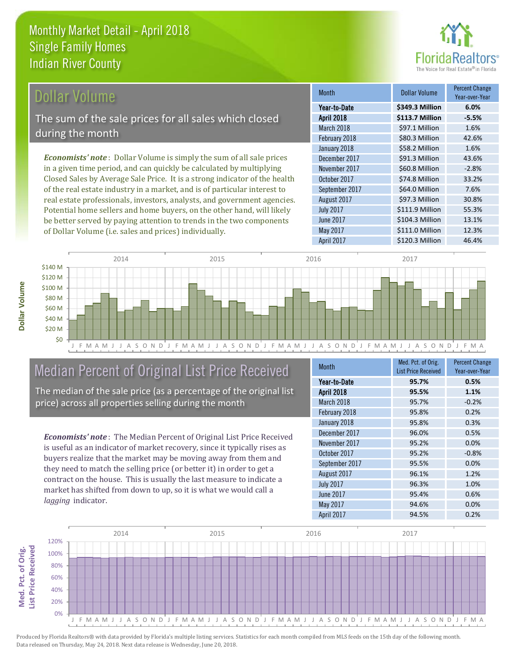

### Dollar Volume

The sum of the sale prices for all sales which closed during the month

*Economists' note* : Dollar Volume is simply the sum of all sale prices in a given time period, and can quickly be calculated by multiplying Closed Sales by Average Sale Price. It is a strong indicator of the health of the real estate industry in a market, and is of particular interest to real estate professionals, investors, analysts, and government agencies. Potential home sellers and home buyers, on the other hand, will likely be better served by paying attention to trends in the two components of Dollar Volume (i.e. sales and prices) individually.

| <b>Month</b>     | <b>Dollar Volume</b> | <b>Percent Change</b><br>Year-over-Year |
|------------------|----------------------|-----------------------------------------|
| Year-to-Date     | \$349.3 Million      | 6.0%                                    |
| April 2018       | \$113.7 Million      | $-5.5%$                                 |
| March 2018       | \$97.1 Million       | 1.6%                                    |
| February 2018    | \$80.3 Million       | 42.6%                                   |
| January 2018     | \$58.2 Million       | 1.6%                                    |
| December 2017    | \$91.3 Million       | 43.6%                                   |
| November 2017    | \$60.8 Million       | $-2.8%$                                 |
| October 2017     | \$74.8 Million       | 33.2%                                   |
| September 2017   | \$64.0 Million       | 7.6%                                    |
| August 2017      | \$97.3 Million       | 30.8%                                   |
| <b>July 2017</b> | \$111.9 Million      | 55.3%                                   |
| <b>June 2017</b> | \$104.3 Million      | 13.1%                                   |
| May 2017         | \$111.0 Million      | 12.3%                                   |
| April 2017       | \$120.3 Million      | 46.4%                                   |



## Median Percent of Original List Price Received

The median of the sale price (as a percentage of the original list price) across all properties selling during the month

*Economists' note* : The Median Percent of Original List Price Received is useful as an indicator of market recovery, since it typically rises as buyers realize that the market may be moving away from them and they need to match the selling price (or better it) in order to get a contract on the house. This is usually the last measure to indicate a market has shifted from down to up, so it is what we would call a *lagging* indicator.

| <b>Month</b>      | Med. Pct. of Orig.         | <b>Percent Change</b> |
|-------------------|----------------------------|-----------------------|
|                   | <b>List Price Received</b> | Year-over-Year        |
| Year-to-Date      | 95.7%                      | 0.5%                  |
| <b>April 2018</b> | 95.5%                      | 1.1%                  |
| March 2018        | 95.7%                      | $-0.2%$               |
| February 2018     | 95.8%                      | 0.2%                  |
| January 2018      | 95.8%                      | 0.3%                  |
| December 2017     | 96.0%                      | 0.5%                  |
| November 2017     | 95.2%                      | 0.0%                  |
| October 2017      | 95.2%                      | $-0.8%$               |
| September 2017    | 95.5%                      | 0.0%                  |
| August 2017       | 96.1%                      | 1.2%                  |
| <b>July 2017</b>  | 96.3%                      | 1.0%                  |
| <b>June 2017</b>  | 95.4%                      | 0.6%                  |
| May 2017          | 94.6%                      | 0.0%                  |
| April 2017        | 94.5%                      | 0.2%                  |



Produced by Florida Realtors® with data provided by Florida's multiple listing services. Statistics for each month compiled from MLS feeds on the 15th day of the following month. Data released on Thursday, May 24, 2018. Next data release is Wednesday, June 20, 2018.

**Med. Pct. of Orig.** 

Med. Pct. of Orig.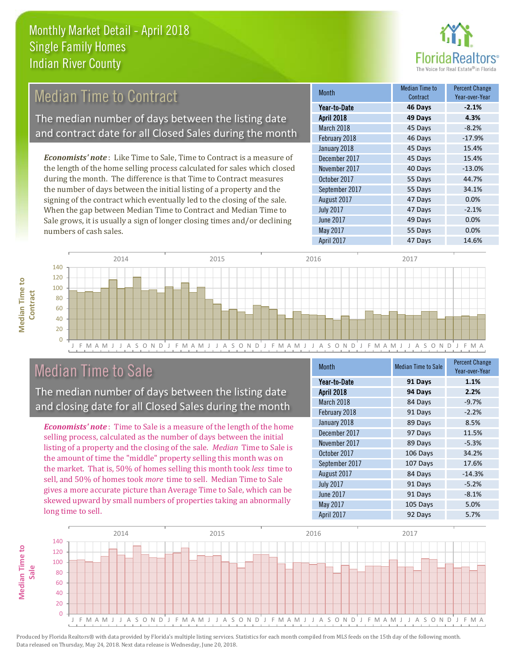

| <b>Median Time to Contract</b>                                                | <b>Month</b>      | <b>Median Time to</b><br>Contract | <b>Percent Change</b><br>Year-over-Year |
|-------------------------------------------------------------------------------|-------------------|-----------------------------------|-----------------------------------------|
|                                                                               | Year-to-Date      | 46 Days                           | $-2.1%$                                 |
| The median number of days between the listing date                            | <b>April 2018</b> | 49 Days                           | 4.3%                                    |
| and contract date for all Closed Sales during the month                       | March 2018        | 45 Days                           | $-8.2%$                                 |
|                                                                               | February 2018     | 46 Days                           | $-17.9%$                                |
|                                                                               | January 2018      | 45 Days                           | 15.4%                                   |
| <b>Economists' note</b> : Like Time to Sale, Time to Contract is a measure of | December 2017     | 45 Days                           | 15.4%                                   |
| the length of the home selling process calculated for sales which closed      | November 2017     | 40 Days                           | $-13.0%$                                |
| during the month. The difference is that Time to Contract measures            | October 2017      | 55 Days                           | 44.7%                                   |
| the number of days between the initial listing of a property and the          | September 2017    | 55 Days                           | 34.1%                                   |
| signing of the contract which eventually led to the closing of the sale.      | August 2017       | 47 Days                           | 0.0%                                    |
| When the gap between Median Time to Contract and Median Time to               | <b>July 2017</b>  | 47 Days                           | $-2.1%$                                 |
| Sale grows, it is usually a sign of longer closing times and/or declining     | <b>June 2017</b>  | 49 Days                           | 0.0%                                    |



## Median Time to Sale

numbers of cash sales.

**Median Time to** 

**Median Time to** 

The median number of days between the listing date and closing date for all Closed Sales during the month

*Economists' note* : Time to Sale is a measure of the length of the home selling process, calculated as the number of days between the initial listing of a property and the closing of the sale. *Median* Time to Sale is the amount of time the "middle" property selling this month was on the market. That is, 50% of homes selling this month took *less* time to sell, and 50% of homes took *more* time to sell. Median Time to Sale gives a more accurate picture than Average Time to Sale, which can be skewed upward by small numbers of properties taking an abnormally long time to sell.

| <b>Month</b>      | <b>Median Time to Sale</b> | <b>Percent Change</b><br>Year-over-Year |
|-------------------|----------------------------|-----------------------------------------|
| Year-to-Date      | 91 Days                    | 1.1%                                    |
| <b>April 2018</b> | 94 Days                    | 2.2%                                    |
| March 2018        | 84 Days                    | $-9.7%$                                 |
| February 2018     | 91 Days                    | $-2.2%$                                 |
| January 2018      | 89 Days                    | 8.5%                                    |
| December 2017     | 97 Days                    | 11.5%                                   |
| November 2017     | 89 Days                    | $-5.3%$                                 |
| October 2017      | 106 Days                   | 34.2%                                   |
| September 2017    | 107 Days                   | 17.6%                                   |
| August 2017       | 84 Days                    | $-14.3%$                                |
| <b>July 2017</b>  | 91 Days                    | $-5.2%$                                 |
| <b>June 2017</b>  | 91 Days                    | $-8.1%$                                 |
| May 2017          | 105 Days                   | 5.0%                                    |
| April 2017        | 92 Days                    | 5.7%                                    |

May 2017 55 Days 0.0%

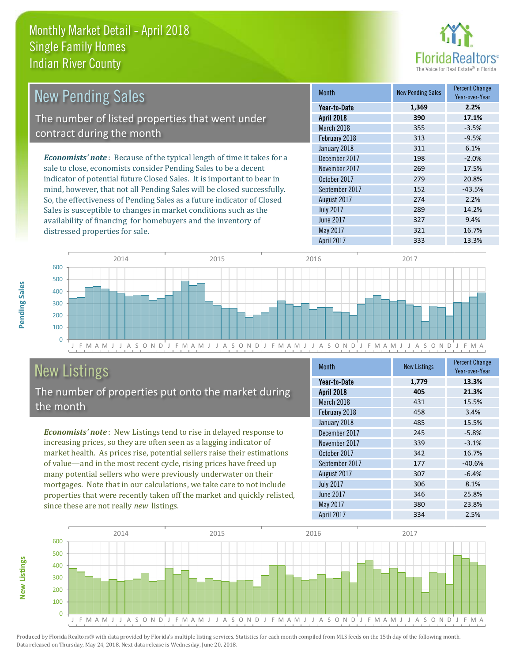

| New Pending Sales                                                             | <b>Month</b>      | <b>New Pending Sales</b> | <b>Percent Change</b><br>Year-over-Year |
|-------------------------------------------------------------------------------|-------------------|--------------------------|-----------------------------------------|
|                                                                               | Year-to-Date      | 1,369                    | 2.2%                                    |
| The number of listed properties that went under                               | <b>April 2018</b> | 390                      | 17.1%                                   |
| contract during the month                                                     | March 2018        | 355                      | $-3.5%$                                 |
|                                                                               | February 2018     | 313                      | $-9.5%$                                 |
|                                                                               | January 2018      | 311                      | 6.1%                                    |
| <b>Economists' note:</b> Because of the typical length of time it takes for a | December 2017     | 198                      | $-2.0%$                                 |
| sale to close, economists consider Pending Sales to be a decent               | November 2017     | 269                      | 17.5%                                   |
| indicator of potential future Closed Sales. It is important to bear in        | October 2017      | 279                      | 20.8%                                   |
| mind, however, that not all Pending Sales will be closed successfully.        | September 2017    | 152                      | $-43.5%$                                |
| So, the effectiveness of Pending Sales as a future indicator of Closed        | August 2017       | 274                      | 2.2%                                    |
| Sales is susceptible to changes in market conditions such as the              | <b>July 2017</b>  | 289                      | 14.2%                                   |
| availability of financing for homebuyers and the inventory of                 | June 2017         | 327                      | 9.4%                                    |



## New Listings

distressed properties for sale.

The number of properties put onto the market during the month

*Economists' note* : New Listings tend to rise in delayed response to increasing prices, so they are often seen as a lagging indicator of market health. As prices rise, potential sellers raise their estimations of value—and in the most recent cycle, rising prices have freed up many potential sellers who were previously underwater on their mortgages. Note that in our calculations, we take care to not include properties that were recently taken off the market and quickly relisted, since these are not really *new* listings.

| Month            | <b>New Listings</b> | <b>Percent Change</b><br>Year-over-Year |
|------------------|---------------------|-----------------------------------------|
| Year-to-Date     | 1,779               | 13.3%                                   |
| April 2018       | 405                 | 21.3%                                   |
| March 2018       | 431                 | 15.5%                                   |
| February 2018    | 458                 | 3.4%                                    |
| January 2018     | 485                 | 15.5%                                   |
| December 2017    | 245                 | $-5.8%$                                 |
| November 2017    | 339                 | $-3.1%$                                 |
| October 2017     | 342                 | 16.7%                                   |
| September 2017   | 177                 | $-40.6%$                                |
| August 2017      | 307                 | $-6.4%$                                 |
| <b>July 2017</b> | 306                 | 8.1%                                    |
| <b>June 2017</b> | 346                 | 25.8%                                   |
| May 2017         | 380                 | 23.8%                                   |
| April 2017       | 334                 | 2.5%                                    |

May 2017 321 16.7%



**New Listings**

**Pending Sales**

**Pending Sales**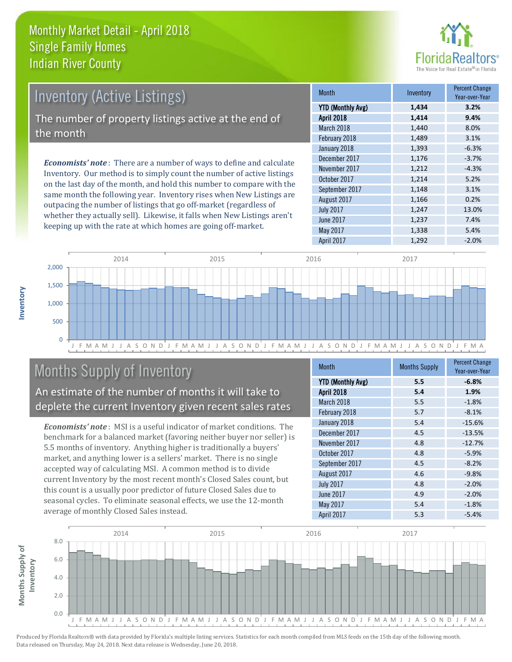

| <b>Inventory (Active Listings)</b>                                           | <b>Month</b>             |
|------------------------------------------------------------------------------|--------------------------|
|                                                                              | <b>YTD (Monthly Avg)</b> |
| The number of property listings active at the end of                         | <b>April 2018</b>        |
| the month                                                                    | March 2018               |
|                                                                              | February 2018            |
|                                                                              | January 2018             |
| <b>Economists' note</b> : There are a number of ways to define and calculate | December 2017            |
|                                                                              | November 2017            |

Inventory. Our method is to simply count the number of active listings on the last day of the month, and hold this number to compare with the same month the following year. Inventory rises when New Listings are outpacing the number of listings that go off-market (regardless of whether they actually sell). Likewise, it falls when New Listings aren't keeping up with the rate at which homes are going off-market.

| <b>Month</b>             | Inventory | <b>Percent Change</b><br>Year-over-Year |
|--------------------------|-----------|-----------------------------------------|
| <b>YTD (Monthly Avg)</b> | 1,434     | 3.2%                                    |
| April 2018               | 1,414     | 9.4%                                    |
| March 2018               | 1,440     | 8.0%                                    |
| February 2018            | 1,489     | 3.1%                                    |
| January 2018             | 1,393     | $-6.3%$                                 |
| December 2017            | 1,176     | $-3.7%$                                 |
| November 2017            | 1,212     | $-4.3%$                                 |
| October 2017             | 1,214     | 5.2%                                    |
| September 2017           | 1,148     | 3.1%                                    |
| August 2017              | 1,166     | 0.2%                                    |
| <b>July 2017</b>         | 1,247     | 13.0%                                   |
| <b>June 2017</b>         | 1,237     | 7.4%                                    |
| May 2017                 | 1,338     | 5.4%                                    |
| April 2017               | 1,292     | $-2.0%$                                 |



## Months Supply of Inventory

An estimate of the number of months it will take to deplete the current Inventory given recent sales rates

*Economists' note* : MSI is a useful indicator of market conditions. The benchmark for a balanced market (favoring neither buyer nor seller) is 5.5 months of inventory. Anything higher is traditionally a buyers' market, and anything lower is a sellers' market. There is no single accepted way of calculating MSI. A common method is to divide current Inventory by the most recent month's Closed Sales count, but this count is a usually poor predictor of future Closed Sales due to seasonal cycles. To eliminate seasonal effects, we use the 12-month average of monthly Closed Sales instead.

| Month                    | <b>Months Supply</b> | <b>Percent Change</b><br>Year-over-Year |
|--------------------------|----------------------|-----------------------------------------|
| <b>YTD (Monthly Avg)</b> | 5.5                  | $-6.8%$                                 |
| <b>April 2018</b>        | 5.4                  | 1.9%                                    |
| March 2018               | 5.5                  | $-1.8%$                                 |
| February 2018            | 5.7                  | $-8.1%$                                 |
| January 2018             | 5.4                  | $-15.6%$                                |
| December 2017            | 4.5                  | $-13.5%$                                |
| November 2017            | 4.8                  | $-12.7%$                                |
| October 2017             | 4.8                  | $-5.9%$                                 |
| September 2017           | 4.5                  | $-8.2%$                                 |
| August 2017              | 4.6                  | $-9.8%$                                 |
| <b>July 2017</b>         | 4.8                  | $-2.0%$                                 |
| <b>June 2017</b>         | 4.9                  | $-2.0%$                                 |
| May 2017                 | 5.4                  | $-1.8%$                                 |
| April 2017               | 5.3                  | $-5.4%$                                 |

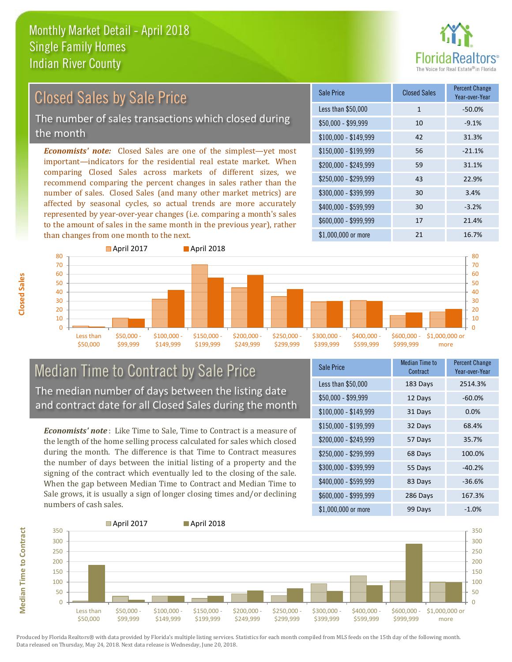

## Closed Sales by Sale Price

The number of sales transactions which closed during the month

*Economists' note:* Closed Sales are one of the simplest—yet most important—indicators for the residential real estate market. When comparing Closed Sales across markets of different sizes, we recommend comparing the percent changes in sales rather than the number of sales. Closed Sales (and many other market metrics) are affected by seasonal cycles, so actual trends are more accurately represented by year-over-year changes (i.e. comparing a month's sales to the amount of sales in the same month in the previous year), rather than changes from one month to the next.

| Sale Price            | <b>Closed Sales</b> | <b>Percent Change</b><br>Year-over-Year |
|-----------------------|---------------------|-----------------------------------------|
| Less than \$50,000    | $\mathbf{1}$        | $-50.0%$                                |
| $$50,000 - $99,999$   | 10                  | $-9.1%$                                 |
| $$100,000 - $149,999$ | 42                  | 31.3%                                   |
| $$150,000 - $199,999$ | 56                  | $-21.1%$                                |
| \$200,000 - \$249,999 | 59                  | 31.1%                                   |
| \$250,000 - \$299,999 | 43                  | 22.9%                                   |
| \$300,000 - \$399,999 | 30                  | 3.4%                                    |
| \$400,000 - \$599,999 | 30                  | $-3.2%$                                 |
| \$600,000 - \$999,999 | 17                  | 21.4%                                   |
| \$1,000,000 or more   | 21                  | 16.7%                                   |



### Median Time to Contract by Sale Price The median number of days between the listing date and contract date for all Closed Sales during the month

*Economists' note* : Like Time to Sale, Time to Contract is a measure of the length of the home selling process calculated for sales which closed during the month. The difference is that Time to Contract measures the number of days between the initial listing of a property and the signing of the contract which eventually led to the closing of the sale. When the gap between Median Time to Contract and Median Time to Sale grows, it is usually a sign of longer closing times and/or declining numbers of cash sales.

| Sale Price            | <b>Median Time to</b><br>Contract | <b>Percent Change</b><br>Year-over-Year |
|-----------------------|-----------------------------------|-----------------------------------------|
| Less than \$50,000    | 183 Days                          | 2514.3%                                 |
| \$50,000 - \$99,999   | 12 Days                           | $-60.0%$                                |
| $$100,000 - $149,999$ | 31 Days                           | 0.0%                                    |
| $$150,000 - $199,999$ | 32 Days                           | 68.4%                                   |
| \$200,000 - \$249,999 | 57 Days                           | 35.7%                                   |
| $$250,000 - $299,999$ | 68 Days                           | 100.0%                                  |
| \$300,000 - \$399,999 | 55 Days                           | $-40.2%$                                |
| $$400,000 - $599,999$ | 83 Days                           | $-36.6%$                                |
| \$600,000 - \$999,999 | 286 Days                          | 167.3%                                  |
| \$1,000,000 or more   | 99 Days                           | $-1.0%$                                 |



Produced by Florida Realtors® with data provided by Florida's multiple listing services. Statistics for each month compiled from MLS feeds on the 15th day of the following month. Data released on Thursday, May 24, 2018. Next data release is Wednesday, June 20, 2018.

**Median Time to Contract**

**Median Time to Contract**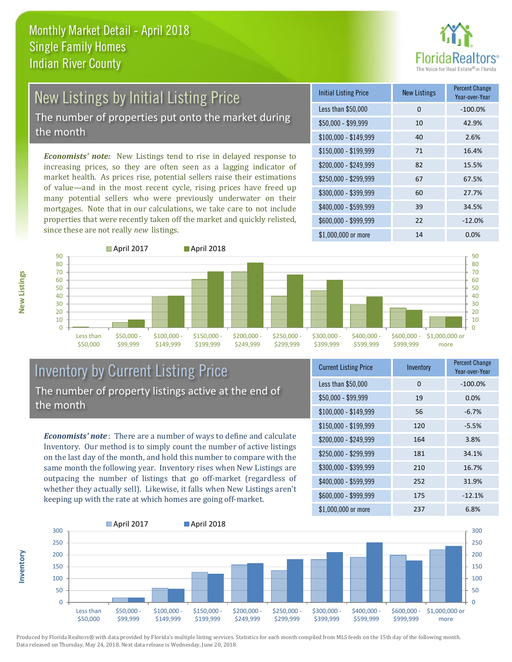

# New Listings by Initial Listing Price

The number of properties put onto the market during the month

*Economists' note:* New Listings tend to rise in delayed response to increasing prices, so they are often seen as a lagging indicator of market health. As prices rise, potential sellers raise their estimations of value—and in the most recent cycle, rising prices have freed up many potential sellers who were previously underwater on their mortgages. Note that in our calculations, we take care to not include properties that were recently taken off the market and quickly relisted, since these are not really *new* listings.

| <b>Initial Listing Price</b> | <b>New Listings</b> | <b>Percent Change</b><br>Year-over-Year |
|------------------------------|---------------------|-----------------------------------------|
| Less than \$50,000           | 0                   | $-100.0%$                               |
| $$50,000 - $99,999$          | 10                  | 42.9%                                   |
| $$100,000 - $149,999$        | 40                  | 2.6%                                    |
| $$150,000 - $199,999$        | 71                  | 16.4%                                   |
| \$200,000 - \$249,999        | 82                  | 15.5%                                   |
| \$250,000 - \$299,999        | 67                  | 67.5%                                   |
| \$300,000 - \$399,999        | 60                  | 27.7%                                   |
| \$400,000 - \$599,999        | 39                  | 34.5%                                   |
| \$600,000 - \$999,999        | 22                  | $-12.0%$                                |
| \$1,000,000 or more          | 14                  | 0.0%                                    |



### Inventory by Current Listing Price The number of property listings active at the end of the month

*Economists' note* : There are a number of ways to define and calculate Inventory. Our method is to simply count the number of active listings on the last day of the month, and hold this number to compare with the same month the following year. Inventory rises when New Listings are outpacing the number of listings that go off-market (regardless of whether they actually sell). Likewise, it falls when New Listings aren't keeping up with the rate at which homes are going off-market.

| <b>Current Listing Price</b> | Inventory | <b>Percent Change</b><br>Year-over-Year |
|------------------------------|-----------|-----------------------------------------|
| Less than \$50,000           | 0         | $-100.0\%$                              |
| $$50,000 - $99,999$          | 19        | 0.0%                                    |
| $$100,000 - $149,999$        | 56        | $-6.7%$                                 |
| $$150,000 - $199,999$        | 120       | $-5.5%$                                 |
| \$200,000 - \$249,999        | 164       | 3.8%                                    |
| \$250,000 - \$299,999        | 181       | 34.1%                                   |
| \$300,000 - \$399,999        | 210       | 16.7%                                   |
| \$400,000 - \$599,999        | 252       | 31.9%                                   |
| \$600,000 - \$999,999        | 175       | $-12.1%$                                |
| \$1,000,000 or more          | 237       | 6.8%                                    |



Produced by Florida Realtors® with data provided by Florida's multiple listing services. Statistics for each month compiled from MLS feeds on the 15th day of the following month. Data released on Thursday, May 24, 2018. Next data release is Wednesday, June 20, 2018.

**Inventory**